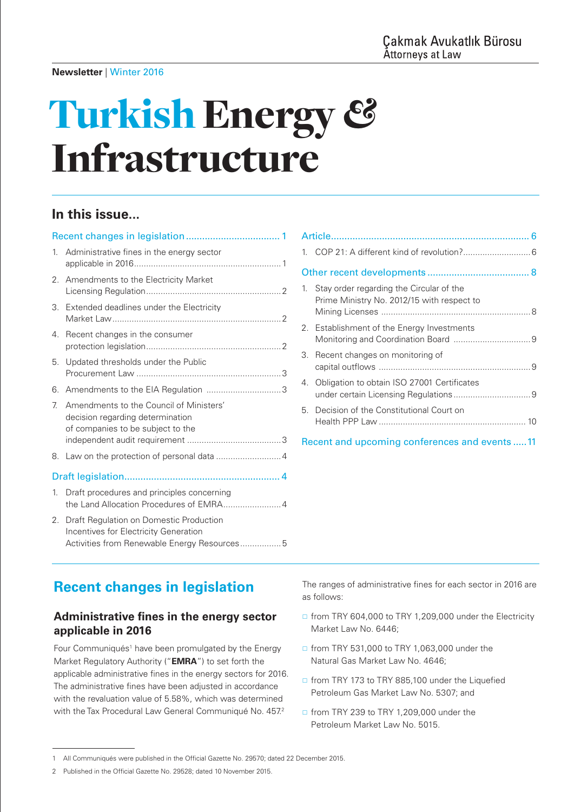# Turkish Energy *&* Infrastructure

# **In this issue...**

| 1. | Administrative fines in the energy sector                                                                                        |  |
|----|----------------------------------------------------------------------------------------------------------------------------------|--|
| 2. | Amendments to the Electricity Market                                                                                             |  |
| 3. | Extended deadlines under the Electricity                                                                                         |  |
| 4. | Recent changes in the consumer                                                                                                   |  |
| 5. | Updated thresholds under the Public                                                                                              |  |
| 6. |                                                                                                                                  |  |
| 7  | Amendments to the Council of Ministers'<br>decision regarding determination<br>of companies to be subject to the                 |  |
| 8. |                                                                                                                                  |  |
|    |                                                                                                                                  |  |
| 1. | Draft procedures and principles concerning                                                                                       |  |
| 2. | Draft Regulation on Domestic Production<br>Incentives for Electricity Generation<br>Activities from Renewable Energy Resources 5 |  |

| 1.                                            | Stay order regarding the Circular of the<br>Prime Ministry No. 2012/15 with respect to |  |  |
|-----------------------------------------------|----------------------------------------------------------------------------------------|--|--|
|                                               | 2. Establishment of the Energy Investments                                             |  |  |
| З.                                            | Recent changes on monitoring of                                                        |  |  |
|                                               | 4. Obligation to obtain ISO 27001 Certificates                                         |  |  |
|                                               | 5. Decision of the Constitutional Court on                                             |  |  |
| Recent and upcoming conferences and events 11 |                                                                                        |  |  |

# <span id="page-0-0"></span>**Recent changes in legislation**

# <span id="page-0-1"></span>**Administrative fines in the energy sector applicable in 2016**

Four Communiqués<sup>1</sup> have been promulgated by the Energy Market Regulatory Authority ("**EMRA**") to set forth the applicable administrative fines in the energy sectors for 2016. The administrative fines have been adjusted in accordance with the revaluation value of 5.58%, which was determined with the Tax Procedural Law General Communiqué No. 457.<sup>2</sup>

The ranges of administrative fines for each sector in 2016 are as follows:

- □ from TRY 604,000 to TRY 1,209,000 under the Electricity Market Law No. 6446;
- □ from TRY 531,000 to TRY 1,063,000 under the Natural Gas Market Law No. 4646;
- □ from TRY 173 to TRY 885,100 under the Liquefied Petroleum Gas Market Law No. 5307; and
- □ from TRY 239 to TRY 1,209,000 under the Petroleum Market Law No. 5015.

<sup>1</sup> All Communiqués were published in the Official Gazette No. 29570; dated 22 December 2015.

<sup>2</sup> Published in the Official Gazette No. 29528; dated 10 November 2015.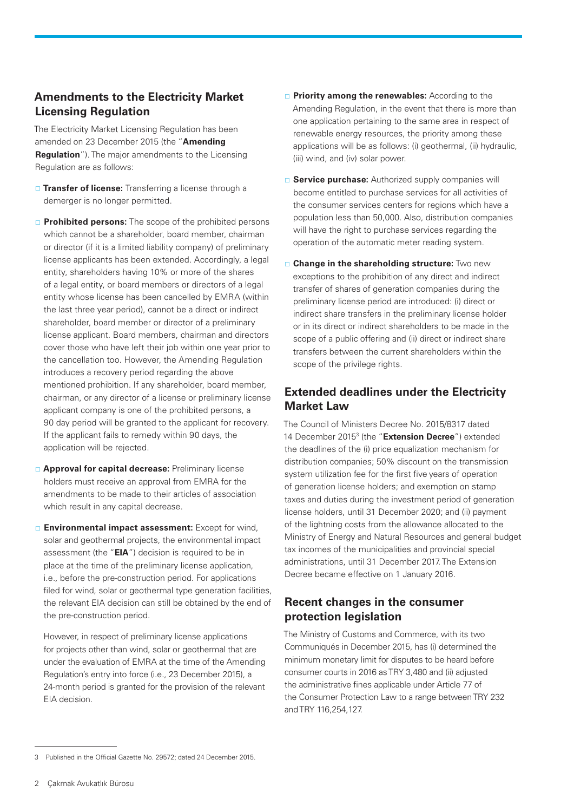# <span id="page-1-0"></span>**Amendments to the Electricity Market Licensing Regulation**

The Electricity Market Licensing Regulation has been amended on 23 December 2015 (the "**Amending Regulation**"). The major amendments to the Licensing Regulation are as follows:

- **Transfer of license:** Transferring a license through a demerger is no longer permitted.
- **Prohibited persons:** The scope of the prohibited persons which cannot be a shareholder, board member, chairman or director (if it is a limited liability company) of preliminary license applicants has been extended. Accordingly, a legal entity, shareholders having 10% or more of the shares of a legal entity, or board members or directors of a legal entity whose license has been cancelled by EMRA (within the last three year period), cannot be a direct or indirect shareholder, board member or director of a preliminary license applicant. Board members, chairman and directors cover those who have left their job within one year prior to the cancellation too. However, the Amending Regulation introduces a recovery period regarding the above mentioned prohibition. If any shareholder, board member, chairman, or any director of a license or preliminary license applicant company is one of the prohibited persons, a 90 day period will be granted to the applicant for recovery. If the applicant fails to remedy within 90 days, the application will be rejected.
- **Approval for capital decrease:** Preliminary license holders must receive an approval from EMRA for the amendments to be made to their articles of association which result in any capital decrease.
- **Environmental impact assessment:** Except for wind, solar and geothermal projects, the environmental impact assessment (the "**EIA**") decision is required to be in place at the time of the preliminary license application, i.e*.,* before the pre-construction period. For applications filed for wind, solar or geothermal type generation facilities, the relevant EIA decision can still be obtained by the end of the pre-construction period.

However, in respect of preliminary license applications for projects other than wind, solar or geothermal that are under the evaluation of EMRA at the time of the Amending Regulation's entry into force (i.e*.,* 23 December 2015), a 24-month period is granted for the provision of the relevant EIA decision.

- **Priority among the renewables:** According to the Amending Regulation, in the event that there is more than one application pertaining to the same area in respect of renewable energy resources, the priority among these applications will be as follows: (i) geothermal, (ii) hydraulic, (iii) wind, and (iv) solar power.
- **Service purchase:** Authorized supply companies will become entitled to purchase services for all activities of the consumer services centers for regions which have a population less than 50,000. Also, distribution companies will have the right to purchase services regarding the operation of the automatic meter reading system.
- **Change in the shareholding structure:** Two new exceptions to the prohibition of any direct and indirect transfer of shares of generation companies during the preliminary license period are introduced: (i) direct or indirect share transfers in the preliminary license holder or in its direct or indirect shareholders to be made in the scope of a public offering and (ii) direct or indirect share transfers between the current shareholders within the scope of the privilege rights.

# <span id="page-1-1"></span>**Extended deadlines under the Electricity Market Law**

The Council of Ministers Decree No. 2015/8317 dated 14 December 20153 (the "**Extension Decree**") extended the deadlines of the (i) price equalization mechanism for distribution companies; 50% discount on the transmission system utilization fee for the first five years of operation of generation license holders; and exemption on stamp taxes and duties during the investment period of generation license holders, until 31 December 2020; and (ii) payment of the lightning costs from the allowance allocated to the Ministry of Energy and Natural Resources and general budget tax incomes of the municipalities and provincial special administrations, until 31 December 2017. The Extension Decree became effective on 1 January 2016.

# <span id="page-1-2"></span>**Recent changes in the consumer protection legislation**

The Ministry of Customs and Commerce, with its two Communiqués in December 2015, has (i) determined the minimum monetary limit for disputes to be heard before consumer courts in 2016 as TRY 3,480 and (ii) adjusted the administrative fines applicable under Article 77 of the Consumer Protection Law to a range between TRY 232 and TRY 116,254,127.

<sup>3</sup> Published in the Official Gazette No. 29572; dated 24 December 2015.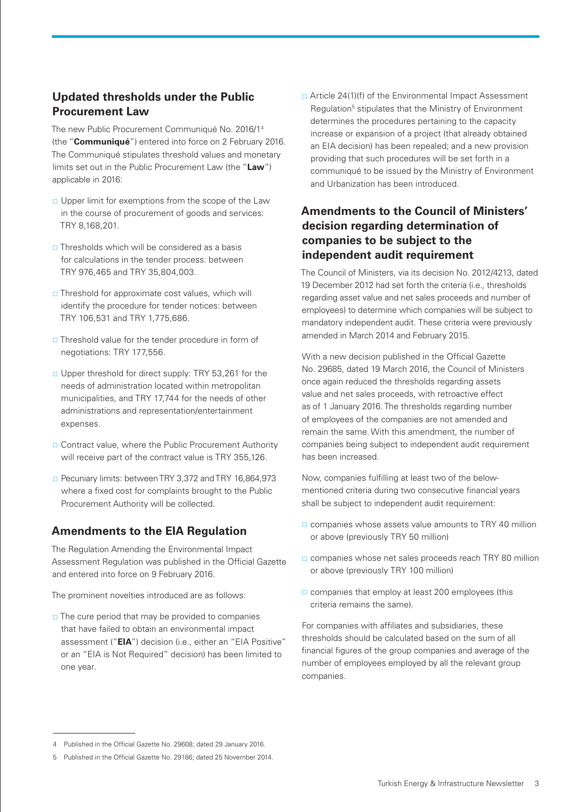# <span id="page-2-0"></span>**Updated thresholds under the Public Procurement Law**

The new Public Procurement Communiqué No. 2016/14 (the "**Communiqué**") entered into force on 2 February 2016. The Communiqué stipulates threshold values and monetary limits set out in the Public Procurement Law (the "**Law**") applicable in 2016:

- $\Box$  Upper limit for exemptions from the scope of the Law in the course of procurement of goods and services: TRY 8,168,201.
- $\Box$  Thresholds which will be considered as a basis for calculations in the tender process: between TRY 976,465 and TRY 35,804,003.
- $\Box$  Threshold for approximate cost values, which will identify the procedure for tender notices: between TRY 106,531 and TRY 1,775,686.
- Threshold value for the tender procedure in form of negotiations: TRY 177,556.
- □ Upper threshold for direct supply: TRY 53,261 for the needs of administration located within metropolitan municipalities, and TRY 17,744 for the needs of other administrations and representation/entertainment expenses.
- Contract value, where the Public Procurement Authority will receive part of the contract value is TRY 355,126.
- □ Pecuniary limits: between TRY 3,372 and TRY 16,864,973 where a fixed cost for complaints brought to the Public Procurement Authority will be collected.

### <span id="page-2-1"></span>**Amendments to the EIA Regulation**

The Regulation Amending the Environmental Impact Assessment Regulation was published in the Official Gazette and entered into force on 9 February 2016.

The prominent novelties introduced are as follows:

 $\Box$  The cure period that may be provided to companies that have failed to obtain an environmental impact assessment ("**EIA**") decision (i.e., either an "EIA Positive" or an "EIA is Not Required" decision) has been limited to one year.

□ Article 24(1)(f) of the Environmental Impact Assessment Regulation<sup>5</sup> stipulates that the Ministry of Environment determines the procedures pertaining to the capacity increase or expansion of a project (that already obtained an EIA decision) has been repealed; and a new provision providing that such procedures will be set forth in a communiqué to be issued by the Ministry of Environment and Urbanization has been introduced.

# **Amendments to the Council of Ministers' decision regarding determination of companies to be subject to the independent audit requirement**

The Council of Ministers, via its decision No. 2012/4213, dated 19 December 2012 had set forth the criteria (i.e*.,* thresholds regarding asset value and net sales proceeds and number of employees) to determine which companies will be subject to mandatory independent audit. These criteria were previously amended in March 2014 and February 2015.

With a new decision published in the Official Gazette No. 29685, dated 19 March 2016, the Council of Ministers once again reduced the thresholds regarding assets value and net sales proceeds, with retroactive effect as of 1 January 2016. The thresholds regarding number of employees of the companies are not amended and remain the same. With this amendment, the number of companies being subject to independent audit requirement has been increased.

Now, companies fulfilling at least two of the belowmentioned criteria during two consecutive financial years shall be subject to independent audit requirement:

- □ companies whose assets value amounts to TRY 40 million or above (previously TRY 50 million)
- □ companies whose net sales proceeds reach TRY 80 million or above (previously TRY 100 million)
- $\Box$  companies that employ at least 200 employees (this criteria remains the same).

For companies with affiliates and subsidiaries, these thresholds should be calculated based on the sum of all financial figures of the group companies and average of the number of employees employed by all the relevant group companies.

<sup>4</sup> Published in the Official Gazette No. 29608; dated 29 January 2016.

<sup>5</sup> Published in the Official Gazette No. 29186; dated 25 November 2014.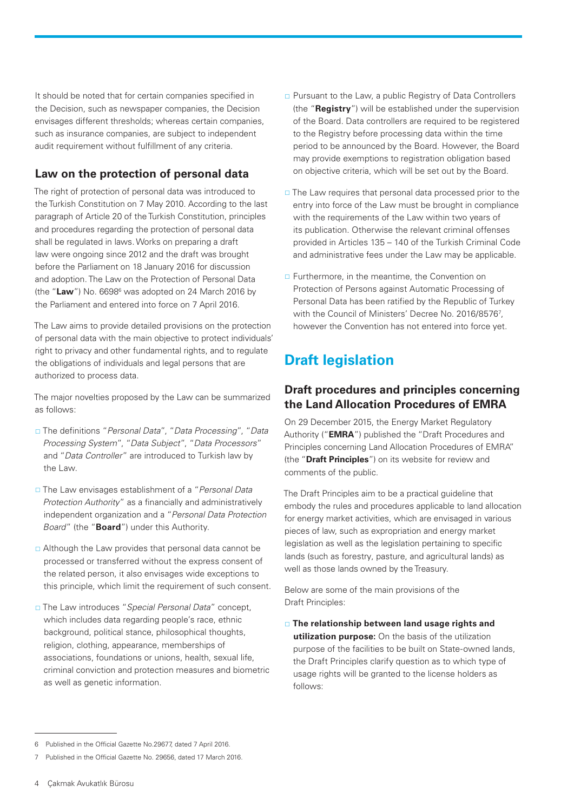It should be noted that for certain companies specified in the Decision, such as newspaper companies, the Decision envisages different thresholds; whereas certain companies, such as insurance companies, are subject to independent audit requirement without fulfillment of any criteria.

## <span id="page-3-0"></span>**Law on the protection of personal data**

The right of protection of personal data was introduced to the Turkish Constitution on 7 May 2010. According to the last paragraph of Article 20 of the Turkish Constitution, principles and procedures regarding the protection of personal data shall be regulated in laws. Works on preparing a draft law were ongoing since 2012 and the draft was brought before the Parliament on 18 January 2016 for discussion and adoption. The Law on the Protection of Personal Data (the "Law") No. 6698<sup>6</sup> was adopted on 24 March 2016 by the Parliament and entered into force on 7 April 2016.

The Law aims to provide detailed provisions on the protection of personal data with the main objective to protect individuals' right to privacy and other fundamental rights, and to regulate the obligations of individuals and legal persons that are authorized to process data.

The major novelties proposed by the Law can be summarized as follows:

- The definitions "*Personal Data*", "*Data Processing*", "*Data Processing System*", "*Data Subject*", "*Data Processors*" and "*Data Controller*" are introduced to Turkish law by the Law.
- The Law envisages establishment of a "*Personal Data Protection Authority*" as a financially and administratively independent organization and a "*Personal Data Protection Board*" (the "**Board**") under this Authority.
- □ Although the Law provides that personal data cannot be processed or transferred without the express consent of the related person, it also envisages wide exceptions to this principle, which limit the requirement of such consent.
- The Law introduces "*Special Personal Data*" concept, which includes data regarding people's race, ethnic background, political stance, philosophical thoughts, religion, clothing, appearance, memberships of associations, foundations or unions, health, sexual life, criminal conviction and protection measures and biometric as well as genetic information.
- □ Pursuant to the Law, a public Registry of Data Controllers (the "**Registry**") will be established under the supervision of the Board. Data controllers are required to be registered to the Registry before processing data within the time period to be announced by the Board. However, the Board may provide exemptions to registration obligation based on objective criteria, which will be set out by the Board.
- □ The Law requires that personal data processed prior to the entry into force of the Law must be brought in compliance with the requirements of the Law within two years of its publication. Otherwise the relevant criminal offenses provided in Articles 135 – 140 of the Turkish Criminal Code and administrative fees under the Law may be applicable.
- □ Furthermore, in the meantime, the Convention on Protection of Persons against Automatic Processing of Personal Data has been ratified by the Republic of Turkey with the Council of Ministers' Decree No. 2016/85767 , however the Convention has not entered into force yet.

# <span id="page-3-1"></span>**Draft legislation**

#### <span id="page-3-2"></span>**Draft procedures and principles concerning the Land Allocation Procedures of EMRA**

On 29 December 2015, the Energy Market Regulatory Authority ("**EMRA**") published the "Draft Procedures and Principles concerning Land Allocation Procedures of EMRA" (the "**Draft Principles**") on its website for review and comments of the public.

The Draft Principles aim to be a practical guideline that embody the rules and procedures applicable to land allocation for energy market activities, which are envisaged in various pieces of law, such as expropriation and energy market legislation as well as the legislation pertaining to specific lands (such as forestry, pasture, and agricultural lands) as well as those lands owned by the Treasury.

Below are some of the main provisions of the Draft Principles:

 **The relationship between land usage rights and utilization purpose:** On the basis of the utilization purpose of the facilities to be built on State-owned lands, the Draft Principles clarify question as to which type of usage rights will be granted to the license holders as follows:

<sup>6</sup> Published in the Official Gazette No.29677, dated 7 April 2016.

Published in the Official Gazette No. 29656, dated 17 March 2016.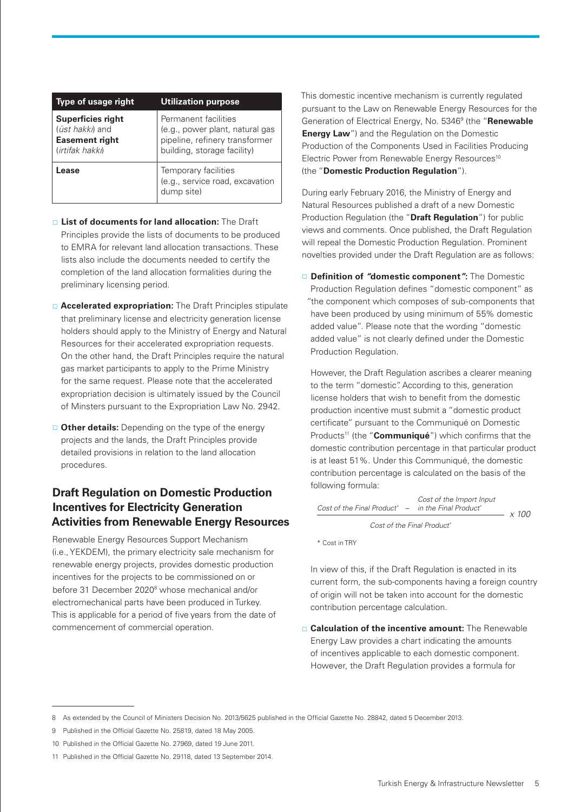| Type of usage right                                                                     | <b>Utilization purpose</b>                                                                                               |
|-----------------------------------------------------------------------------------------|--------------------------------------------------------------------------------------------------------------------------|
| <b>Superficies right</b><br>(üst hakkı) and<br><b>Easement right</b><br>(irtifak hakkı) | Permanent facilities<br>(e.g., power plant, natural gas<br>pipeline, refinery transformer<br>building, storage facility) |
| <b>Lease</b>                                                                            | Temporary facilities<br>(e.g., service road, excavation<br>dump site)                                                    |

- **List of documents for land allocation:** The Draft Principles provide the lists of documents to be produced to EMRA for relevant land allocation transactions. These lists also include the documents needed to certify the completion of the land allocation formalities during the preliminary licensing period.
- **Accelerated expropriation:** The Draft Principles stipulate that preliminary license and electricity generation license holders should apply to the Ministry of Energy and Natural Resources for their accelerated expropriation requests. On the other hand, the Draft Principles require the natural gas market participants to apply to the Prime Ministry for the same request. Please note that the accelerated expropriation decision is ultimately issued by the Council of Minsters pursuant to the Expropriation Law No. 2942.
- **Other details:** Depending on the type of the energy projects and the lands, the Draft Principles provide detailed provisions in relation to the land allocation procedures.

# <span id="page-4-0"></span>**Draft Regulation on Domestic Production Incentives for Electricity Generation Activities from Renewable Energy Resources**

Renewable Energy Resources Support Mechanism (i.e*.,* YEKDEM), the primary electricity sale mechanism for renewable energy projects, provides domestic production incentives for the projects to be commissioned on or before 31 December 2020<sup>8</sup> whose mechanical and/or electromechanical parts have been produced in Turkey. This is applicable for a period of five years from the date of commencement of commercial operation.

This domestic incentive mechanism is currently regulated pursuant to the Law on Renewable Energy Resources for the Generation of Electrical Energy, No. 53469 (the "**Renewable Energy Law**") and the Regulation on the Domestic Production of the Components Used in Facilities Producing Electric Power from Renewable Energy Resources<sup>10</sup> (the "**Domestic Production Regulation**").

During early February 2016, the Ministry of Energy and Natural Resources published a draft of a new Domestic Production Regulation (the "**Draft Regulation**") for public views and comments. Once published, the Draft Regulation will repeal the Domestic Production Regulation. Prominent novelties provided under the Draft Regulation are as follows:

 **Definition of** *"***domestic component***"***:** The Domestic Production Regulation defines "domestic component" as *"*the component which composes of sub-components that have been produced by using minimum of 55% domestic added value". Please note that the wording "domestic added value" is not clearly defined under the Domestic Production Regulation.

However, the Draft Regulation ascribes a clearer meaning to the term "domestic". According to this, generation license holders that wish to benefit from the domestic production incentive must submit a "domestic product certificate" pursuant to the Communiqué on Domestic Products<sup>11</sup> (the "**Communiqué**") which confirms that the domestic contribution percentage in that particular product is at least 51%. Under this Communiqué, the domestic contribution percentage is calculated on the basis of the following formula:

Cost of the Important  
\nCost of the Final Product" – in the Final Product" 
$$
\times
$$
 100

\nCost of the Final Product"  $\times$  100

\* Cost in TRY

In view of this, if the Draft Regulation is enacted in its current form, the sub-components having a foreign country of origin will not be taken into account for the domestic contribution percentage calculation.

 **Calculation of the incentive amount:** The Renewable Energy Law provides a chart indicating the amounts of incentives applicable to each domestic component. However, the Draft Regulation provides a formula for

<sup>8</sup> As extended by the Council of Ministers Decision No. 2013/5625 published in the Official Gazette No. 28842, dated 5 December 2013.

<sup>9</sup> Published in the Official Gazette No. 25819, dated 18 May 2005.

<sup>10</sup> Published in the Official Gazette No. 27969, dated 19 June 2011.

<sup>11</sup> Published in the Official Gazette No. 29118, dated 13 September 2014.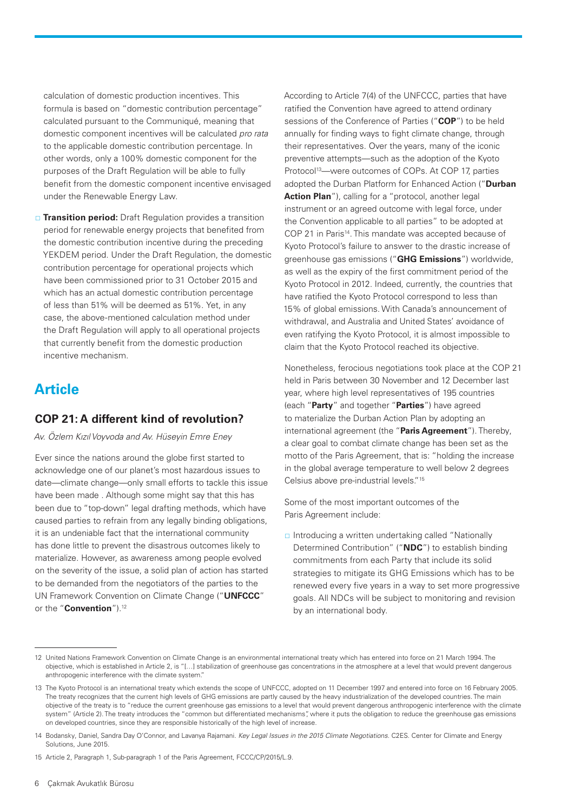calculation of domestic production incentives. This formula is based on "domestic contribution percentage" calculated pursuant to the Communiqué, meaning that domestic component incentives will be calculated *pro rata* to the applicable domestic contribution percentage. In other words, only a 100% domestic component for the purposes of the Draft Regulation will be able to fully benefit from the domestic component incentive envisaged under the Renewable Energy Law.

**Transition period:** Draft Regulation provides a transition period for renewable energy projects that benefited from the domestic contribution incentive during the preceding YEKDEM period. Under the Draft Regulation, the domestic contribution percentage for operational projects which have been commissioned prior to 31 October 2015 and which has an actual domestic contribution percentage of less than 51% will be deemed as 51%. Yet, in any case, the above-mentioned calculation method under the Draft Regulation will apply to all operational projects that currently benefit from the domestic production incentive mechanism.

# <span id="page-5-0"></span>**Article**

#### <span id="page-5-1"></span>**COP 21: A different kind of revolution?**

*Av. Özlem Kızıl Voyvoda and Av. Hüseyin Emre Eney*

Ever since the nations around the globe first started to acknowledge one of our planet's most hazardous issues to date—climate change—only small efforts to tackle this issue have been made . Although some might say that this has been due to "top-down" legal drafting methods, which have caused parties to refrain from any legally binding obligations, it is an undeniable fact that the international community has done little to prevent the disastrous outcomes likely to materialize. However, as awareness among people evolved on the severity of the issue, a solid plan of action has started to be demanded from the negotiators of the parties to the UN Framework Convention on Climate Change ("**UNFCCC**" or the "**Convention**").12

According to Article 7(4) of the UNFCCC, parties that have ratified the Convention have agreed to attend ordinary sessions of the Conference of Parties ("**COP**") to be held annually for finding ways to fight climate change, through their representatives. Over the years, many of the iconic preventive attempts—such as the adoption of the Kyoto Protocol<sup>13</sup>—were outcomes of COPs. At COP 17, parties adopted the Durban Platform for Enhanced Action ("**Durban Action Plan**"), calling for a "protocol, another legal instrument or an agreed outcome with legal force, under the Convention applicable to all parties" to be adopted at COP 21 in Paris<sup>14</sup>. This mandate was accepted because of Kyoto Protocol's failure to answer to the drastic increase of greenhouse gas emissions ("**GHG Emissions**") worldwide, as well as the expiry of the first commitment period of the Kyoto Protocol in 2012. Indeed, currently, the countries that have ratified the Kyoto Protocol correspond to less than 15% of global emissions. With Canada's announcement of withdrawal, and Australia and United States' avoidance of even ratifying the Kyoto Protocol, it is almost impossible to claim that the Kyoto Protocol reached its objective.

Nonetheless, ferocious negotiations took place at the COP 21 held in Paris between 30 November and 12 December last year, where high level representatives of 195 countries (each "**Party**" and together "**Parties**") have agreed to materialize the Durban Action Plan by adopting an international agreement (the "**Paris Agreement**"). Thereby, a clear goal to combat climate change has been set as the motto of the Paris Agreement, that is: "holding the increase in the global average temperature to well below 2 degrees Celsius above pre-industrial levels."15

Some of the most important outcomes of the Paris Agreement include:

 $\Box$  Introducing a written undertaking called "Nationally Determined Contribution" ("**NDC**") to establish binding commitments from each Party that include its solid strategies to mitigate its GHG Emissions which has to be renewed every five years in a way to set more progressive goals. All NDCs will be subject to monitoring and revision by an international body.

<sup>12</sup> United Nations Framework Convention on Climate Change is an environmental international treaty which has entered into force on 21 March 1994. The objective, which is established in Article 2, is "[…] stabilization of greenhouse gas concentrations in the atmosphere at a level that would prevent dangerous anthropogenic interference with the climate system."

<sup>13</sup> The Kyoto Protocol is an international treaty which extends the scope of UNFCCC, adopted on 11 December 1997 and entered into force on 16 February 2005. The treaty recognizes that the current high levels of GHG emissions are partly caused by the heavy industrialization of the developed countries. The main objective of the treaty is to "reduce the current greenhouse gas emissions to a level that would prevent dangerous anthropogenic interference with the climate system" (Article 2). The treaty introduces the "common but differentiated mechanisms", where it puts the obligation to reduce the greenhouse gas emissions on developed countries, since they are responsible historically of the high level of increase.

<sup>14</sup> Bodansky, Daniel, Sandra Day O'Connor, and Lavanya Rajamani. *Key Legal Issues in the 2015 Climate Negotiations*. C2ES. Center for Climate and Energy Solutions, June 2015.

<sup>15</sup> Article 2, Paragraph 1, Sub-paragraph 1 of the Paris Agreement, FCCC/CP/2015/L.9.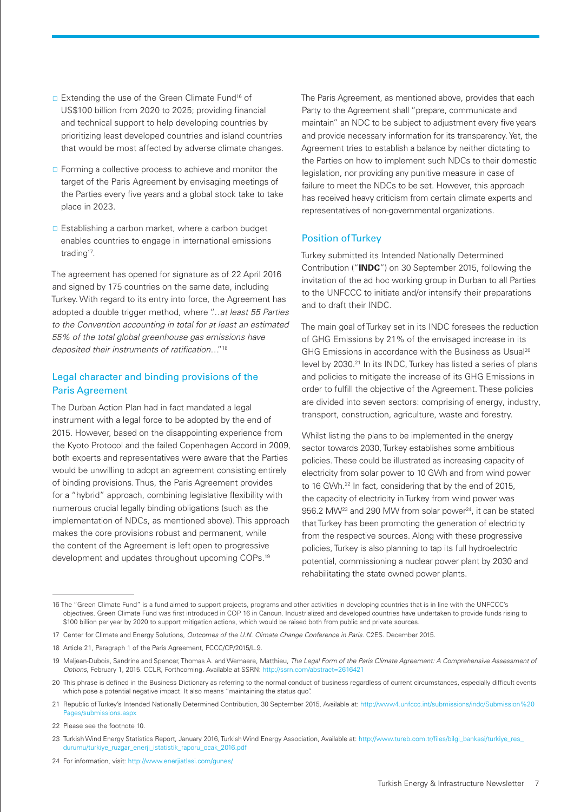- □ Extending the use of the Green Climate Fund<sup>16</sup> of US\$100 billion from 2020 to 2025; providing financial and technical support to help developing countries by prioritizing least developed countries and island countries that would be most affected by adverse climate changes.
- $\Box$  Forming a collective process to achieve and monitor the target of the Paris Agreement by envisaging meetings of the Parties every five years and a global stock take to take place in 2023.
- $\Box$  Establishing a carbon market, where a carbon budget enables countries to engage in international emissions trading<sup>17</sup>.

The agreement has opened for signature as of 22 April 2016 and signed by 175 countries on the same date, including Turkey. With regard to its entry into force, the Agreement has adopted a double trigger method, where "…*at least 55 Parties to the Convention accounting in total for at least an estimated 55% of the total global greenhouse gas emissions have deposited their instruments of ratification*…"18

#### Legal character and binding provisions of the Paris Agreement

The Durban Action Plan had in fact mandated a legal instrument with a legal force to be adopted by the end of 2015. However, based on the disappointing experience from the Kyoto Protocol and the failed Copenhagen Accord in 2009, both experts and representatives were aware that the Parties would be unwilling to adopt an agreement consisting entirely of binding provisions. Thus, the Paris Agreement provides for a "hybrid" approach, combining legislative flexibility with numerous crucial legally binding obligations (such as the implementation of NDCs, as mentioned above). This approach makes the core provisions robust and permanent, while the content of the Agreement is left open to progressive development and updates throughout upcoming COPs.19

The Paris Agreement, as mentioned above, provides that each Party to the Agreement shall "prepare, communicate and maintain" an NDC to be subject to adjustment every five years and provide necessary information for its transparency. Yet, the Agreement tries to establish a balance by neither dictating to the Parties on how to implement such NDCs to their domestic legislation, nor providing any punitive measure in case of failure to meet the NDCs to be set. However, this approach has received heavy criticism from certain climate experts and representatives of non-governmental organizations.

#### Position of Turkey

Turkey submitted its Intended Nationally Determined Contribution ("**INDC**") on 30 September 2015, following the invitation of the ad hoc working group in Durban to all Parties to the UNFCCC to initiate and/or intensify their preparations and to draft their INDC.

The main goal of Turkey set in its INDC foresees the reduction of GHG Emissions by 21% of the envisaged increase in its GHG Emissions in accordance with the Business as Usual<sup>20</sup> level by 2030.21 In its INDC, Turkey has listed a series of plans and policies to mitigate the increase of its GHG Emissions in order to fulfill the objective of the Agreement. These policies are divided into seven sectors: comprising of energy, industry, transport, construction, agriculture, waste and forestry.

Whilst listing the plans to be implemented in the energy sector towards 2030, Turkey establishes some ambitious policies. These could be illustrated as increasing capacity of electricity from solar power to 10 GWh and from wind power to 16 GWh.<sup>22</sup> In fact, considering that by the end of 2015, the capacity of electricity in Turkey from wind power was 956.2 MW<sup>23</sup> and 290 MW from solar power<sup>24</sup>, it can be stated that Turkey has been promoting the generation of electricity from the respective sources. Along with these progressive policies, Turkey is also planning to tap its full hydroelectric potential, commissioning a nuclear power plant by 2030 and rehabilitating the state owned power plants.

<sup>16</sup> The "Green Climate Fund" is a fund aimed to support projects, programs and other activities in developing countries that is in line with the UNFCCC's objectives. Green Climate Fund was first introduced in COP 16 in Cancun. Industrialized and developed countries have undertaken to provide funds rising to \$100 billion per year by 2020 to support mitigation actions, which would be raised both from public and private sources.

<sup>17</sup> Center for Climate and Energy Solutions, *Outcomes of the U.N. Climate Change Conference in Paris*. C2ES. December 2015.

<sup>18</sup> Article 21, Paragraph 1 of the Paris Agreement, FCCC/CP/2015/L.9.

<sup>19</sup> Maljean-Dubois, Sandrine and Spencer, Thomas A. and Wemaere, Matthieu, *The Legal Form of the Paris Climate Agreement: A Comprehensive Assessment of Options*, February 1, 2015. CCLR, Forthcoming. Available at SSRN: <http://ssrn.com/abstract=2616421>

<sup>20</sup> This phrase is defined in the Business Dictionary as referring to the normal conduct of business regardless of current circumstances, especially difficult events which pose a potential negative impact. It also means "maintaining the status quo".

<sup>21</sup> Republic of Turkey's Intended Nationally Determined Contribution, 30 September 2015, Available at: [http://www4.unfccc.int/submissions/indc/Submission%20](http://www4.unfccc.int/submissions/indc/Submission%20Pages/submissions.aspx) [Pages/submissions.aspx](http://www4.unfccc.int/submissions/indc/Submission%20Pages/submissions.aspx)

<sup>22</sup> Please see the footnote 10.

<sup>23</sup> Turkish Wind Energy Statistics Report, January 2016, Turkish Wind Energy Association, Available at: [http://www.tureb.com.tr/files/bilgi\\_bankasi/turkiye\\_res\\_](http://www.tureb.com.tr/files/bilgi_bankasi/turkiye_res_durumu/turkiye_ruzgar_enerji_istatistik_raporu_ocak_2016.pdf) [durumu/turkiye\\_ruzgar\\_enerji\\_istatistik\\_raporu\\_ocak\\_2016.pdf](http://www.tureb.com.tr/files/bilgi_bankasi/turkiye_res_durumu/turkiye_ruzgar_enerji_istatistik_raporu_ocak_2016.pdf)

<sup>24</sup> For information, visit: <http://www.enerjiatlasi.com/gunes/>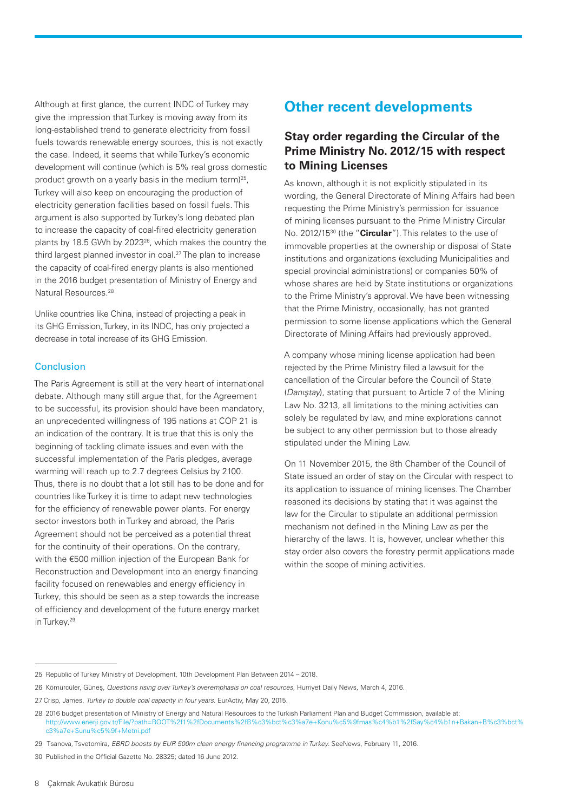Although at first glance, the current INDC of Turkey may give the impression that Turkey is moving away from its long-established trend to generate electricity from fossil fuels towards renewable energy sources, this is not exactly the case. Indeed, it seems that while Turkey's economic development will continue (which is 5% real gross domestic product growth on a yearly basis in the medium term)<sup>25</sup>, Turkey will also keep on encouraging the production of electricity generation facilities based on fossil fuels. This argument is also supported by Turkey's long debated plan to increase the capacity of coal-fired electricity generation plants by 18.5 GWh by 202326, which makes the country the third largest planned investor in coal.<sup>27</sup> The plan to increase the capacity of coal-fired energy plants is also mentioned in the 2016 budget presentation of Ministry of Energy and Natural Resources.28

Unlike countries like China, instead of projecting a peak in its GHG Emission, Turkey, in its INDC, has only projected a decrease in total increase of its GHG Emission.

#### Conclusion

The Paris Agreement is still at the very heart of international debate. Although many still argue that, for the Agreement to be successful, its provision should have been mandatory, an unprecedented willingness of 195 nations at COP 21 is an indication of the contrary. It is true that this is only the beginning of tackling climate issues and even with the successful implementation of the Paris pledges, average warming will reach up to 2.7 degrees Celsius by 2100. Thus, there is no doubt that a lot still has to be done and for countries like Turkey it is time to adapt new technologies for the efficiency of renewable power plants. For energy sector investors both in Turkey and abroad, the Paris Agreement should not be perceived as a potential threat for the continuity of their operations. On the contrary, with the €500 million injection of the European Bank for Reconstruction and Development into an energy financing facility focused on renewables and energy efficiency in Turkey, this should be seen as a step towards the increase of efficiency and development of the future energy market in Turkey.<sup>29</sup>

# <span id="page-7-0"></span>**Other recent developments**

# <span id="page-7-1"></span>**Stay order regarding the Circular of the Prime Ministry No. 2012/15 with respect to Mining Licenses**

As known, although it is not explicitly stipulated in its wording, the General Directorate of Mining Affairs had been requesting the Prime Ministry's permission for issuance of mining licenses pursuant to the Prime Ministry Circular No. 2012/1530 (the "**Circular**"). This relates to the use of immovable properties at the ownership or disposal of State institutions and organizations (excluding Municipalities and special provincial administrations) or companies 50% of whose shares are held by State institutions or organizations to the Prime Ministry's approval. We have been witnessing that the Prime Ministry, occasionally, has not granted permission to some license applications which the General Directorate of Mining Affairs had previously approved.

A company whose mining license application had been rejected by the Prime Ministry filed a lawsuit for the cancellation of the Circular before the Council of State (*Danıştay*), stating that pursuant to Article 7 of the Mining Law No. 3213, all limitations to the mining activities can solely be regulated by law, and mine explorations cannot be subject to any other permission but to those already stipulated under the Mining Law.

On 11 November 2015, the 8th Chamber of the Council of State issued an order of stay on the Circular with respect to its application to issuance of mining licenses. The Chamber reasoned its decisions by stating that it was against the law for the Circular to stipulate an additional permission mechanism not defined in the Mining Law as per the hierarchy of the laws. It is, however, unclear whether this stay order also covers the forestry permit applications made within the scope of mining activities.

<sup>25</sup> Republic of Turkey Ministry of Development, 10th Development Plan Between 2014 – 2018.

<sup>26</sup> Kömürcüler, Güneş, *Questions rising over Turkey's overemphasis on coal resources*, Hurriyet Daily News, March 4, 2016.

<sup>27</sup> Crisp, James, *Turkey to double coal capacity in four years*. EurActiv, May 20, 2015.

<sup>28</sup> 2016 budget presentation of Ministry of Energy and Natural Resources to the Turkish Parliament Plan and Budget Commission, available at: [http://www.enerji.gov.tr/File/?path=ROOT%2f1%2fDocuments%2fB%c3%bct%c3%a7e+Konu%c5%9fmas%c4%b1%2fSay%c4%b1n+Bakan+B%c3%bct%](http://www.enerji.gov.tr/File/?path=ROOT%2f1%2fDocuments%2fB%c3%bct%c3%a7e+Konu%c5%9fmas%c4%b1%2fSay%c4%b1n+Bakan+B%c3%bct%c3%a7e+Sunu%c5%9f+Metni.pdf) [c3%a7e+Sunu%c5%9f+Metni.pdf](http://www.enerji.gov.tr/File/?path=ROOT%2f1%2fDocuments%2fB%c3%bct%c3%a7e+Konu%c5%9fmas%c4%b1%2fSay%c4%b1n+Bakan+B%c3%bct%c3%a7e+Sunu%c5%9f+Metni.pdf)

<sup>29</sup> Tsanova, Tsvetomira, *EBRD boosts by EUR 500m clean energy financing programme in Turkey*. SeeNews, February 11, 2016.

<sup>30</sup> Published in the Official Gazette No. 28325; dated 16 June 2012.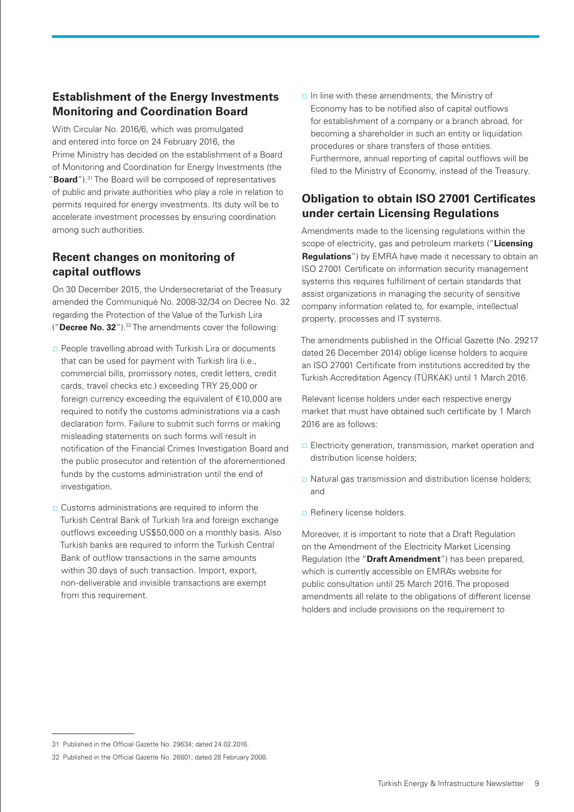# <span id="page-8-0"></span>**Establishment of the Energy Investments Monitoring and Coordination Board**

With Circular No. 2016/6, which was promulgated and entered into force on 24 February 2016, the Prime Ministry has decided on the establishment of a Board of Monitoring and Coordination for Energy Investments (the "**Board**").31 The Board will be composed of representatives of public and private authorities who play a role in relation to permits required for energy investments. Its duty will be to accelerate investment processes by ensuring coordination among such authorities.

# <span id="page-8-1"></span>**Recent changes on monitoring of capital outflows**

On 30 December 2015, the Undersecretariat of the Treasury amended the Communiqué No. 2008-32/34 on Decree No. 32 regarding the Protection of the Value of the Turkish Lira ("**Decree No. 32**").32 The amendments cover the following:

- **People travelling abroad with Turkish Lira or documents** that can be used for payment with Turkish lira (i.e., commercial bills, promissory notes, credit letters, credit cards, travel checks etc.) exceeding TRY 25,000 or foreign currency exceeding the equivalent of €10,000 are required to notify the customs administrations via a cash declaration form. Failure to submit such forms or making misleading statements on such forms will result in notification of the Financial Crimes Investigation Board and the public prosecutor and retention of the aforementioned funds by the customs administration until the end of investigation.
- $\Box$  Customs administrations are required to inform the Turkish Central Bank of Turkish lira and foreign exchange outflows exceeding US\$50,000 on a monthly basis. Also Turkish banks are required to inform the Turkish Central Bank of outflow transactions in the same amounts within 30 days of such transaction. Import, export, non-deliverable and invisible transactions are exempt from this requirement.

 $\Box$  In line with these amendments, the Ministry of Economy has to be notified also of capital outflows for establishment of a company or a branch abroad, for becoming a shareholder in such an entity or liquidation procedures or share transfers of those entities. Furthermore, annual reporting of capital outflows will be filed to the Ministry of Economy, instead of the Treasury.

# <span id="page-8-2"></span>**Obligation to obtain ISO 27001 Certificates under certain Licensing Regulations**

Amendments made to the licensing regulations within the scope of electricity, gas and petroleum markets ("**Licensing Regulations**") by EMRA have made it necessary to obtain an ISO 27001 Certificate on information security management systems this requires fulfillment of certain standards that assist organizations in managing the security of sensitive company information related to, for example, intellectual property, processes and IT systems.

The amendments published in the Official Gazette (No. 29217 dated 26 December 2014) oblige license holders to acquire an ISO 27001 Certificate from institutions accredited by the Turkish Accreditation Agency (TÜRKAK) until 1 March 2016.

Relevant license holders under each respective energy market that must have obtained such certificate by 1 March 2016 are as follows:

- **Electricity generation, transmission, market operation and** distribution license holders;
- Natural gas transmission and distribution license holders; and
- $\Box$  Refinery license holders.

Moreover, it is important to note that a Draft Regulation on the Amendment of the Electricity Market Licensing Regulation (the "**Draft Amendment**") has been prepared, which is currently accessible on EMRA's website for public consultation until 25 March 2016. The proposed amendments all relate to the obligations of different license holders and include provisions on the requirement to

<sup>31</sup> Published in the Official Gazette No. 29634; dated 24.02.2016.

<sup>32</sup> Published in the Official Gazette No. 26801; dated 28 February 2008.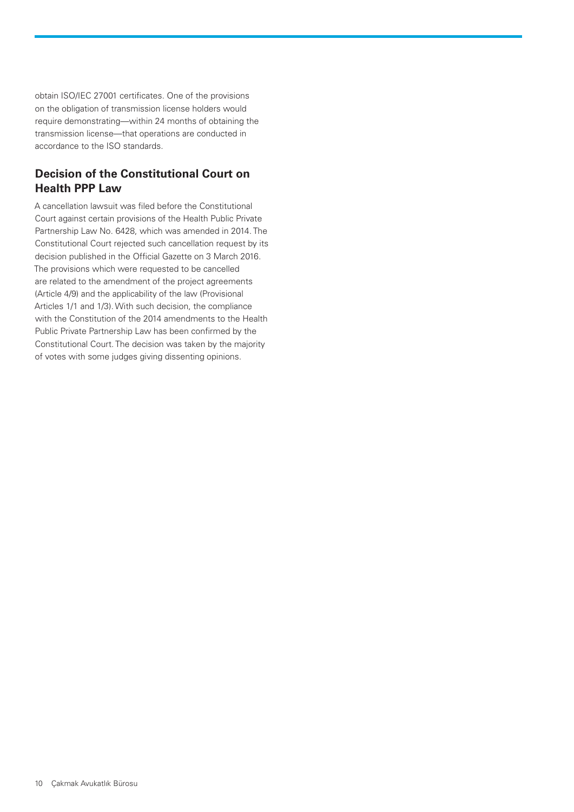obtain ISO/IEC 27001 certificates. One of the provisions on the obligation of transmission license holders would require demonstrating—within 24 months of obtaining the transmission license—that operations are conducted in accordance to the ISO standards.

# <span id="page-9-0"></span>**Decision of the Constitutional Court on Health PPP Law**

A cancellation lawsuit was filed before the Constitutional Court against certain provisions of the Health Public Private Partnership Law No. 6428, which was amended in 2014. The Constitutional Court rejected such cancellation request by its decision published in the Official Gazette on 3 March 2016. The provisions which were requested to be cancelled are related to the amendment of the project agreements (Article 4/9) and the applicability of the law (Provisional Articles 1/1 and 1/3). With such decision, the compliance with the Constitution of the 2014 amendments to the Health Public Private Partnership Law has been confirmed by the Constitutional Court. The decision was taken by the majority of votes with some judges giving dissenting opinions.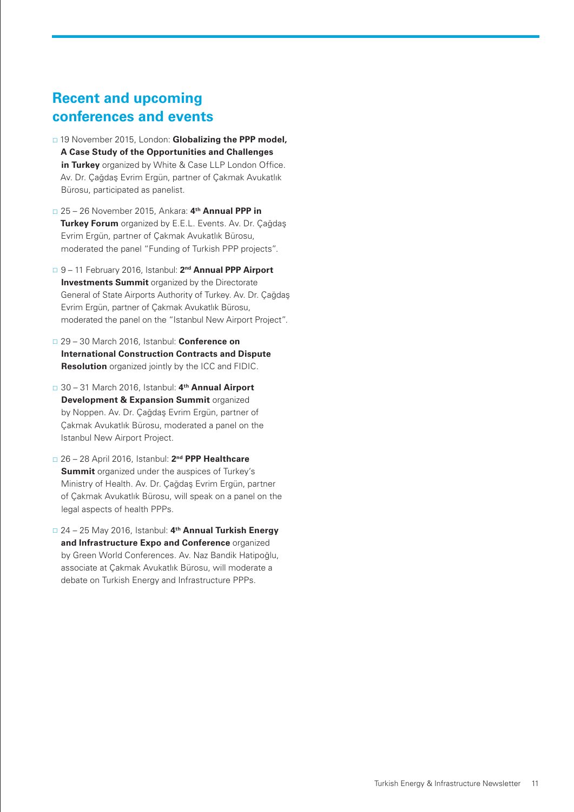# **Recent and upcoming conferences and events**

- 19 November 2015, London: **Globalizing the PPP model, A Case Study of the Opportunities and Challenges in Turkey** organized by White & Case LLP London Office. Av. Dr. Çağdaş Evrim Ergün, partner of Çakmak Avukatlık Bürosu, participated as panelist.
- 25 26 November 2015, Ankara: **4th Annual PPP in Turkey Forum** organized by E.E.L. Events. Av. Dr. Çağdaş Evrim Ergün, partner of Çakmak Avukatlık Bürosu, moderated the panel "Funding of Turkish PPP projects".
- 9 11 February 2016, Istanbul: **2nd Annual PPP Airport Investments Summit** organized by the Directorate General of State Airports Authority of Turkey. Av. Dr. Çağdaş Evrim Ergün, partner of Çakmak Avukatlık Bürosu, moderated the panel on the "Istanbul New Airport Project".
- 29 30 March 2016, Istanbul: **Conference on International Construction Contracts and Dispute Resolution** organized jointly by the ICC and FIDIC.
- 30 31 March 2016, Istanbul: **4th Annual Airport Development & Expansion Summit** organized by Noppen. Av. Dr. Çağdaş Evrim Ergün, partner of Çakmak Avukatlık Bürosu, moderated a panel on the Istanbul New Airport Project.
- 26 28 April 2016, Istanbul: **2nd PPP Healthcare Summit** organized under the auspices of Turkey's Ministry of Health. Av. Dr. Çağdaş Evrim Ergün, partner of Çakmak Avukatlık Bürosu, will speak on a panel on the legal aspects of health PPPs.
- 24 25 May 2016, Istanbul: **4th Annual Turkish Energy and Infrastructure Expo and Conference** organized by Green World Conferences. Av. Naz Bandik Hatipoğlu, associate at Çakmak Avukatlık Bürosu, will moderate a debate on Turkish Energy and Infrastructure PPPs.